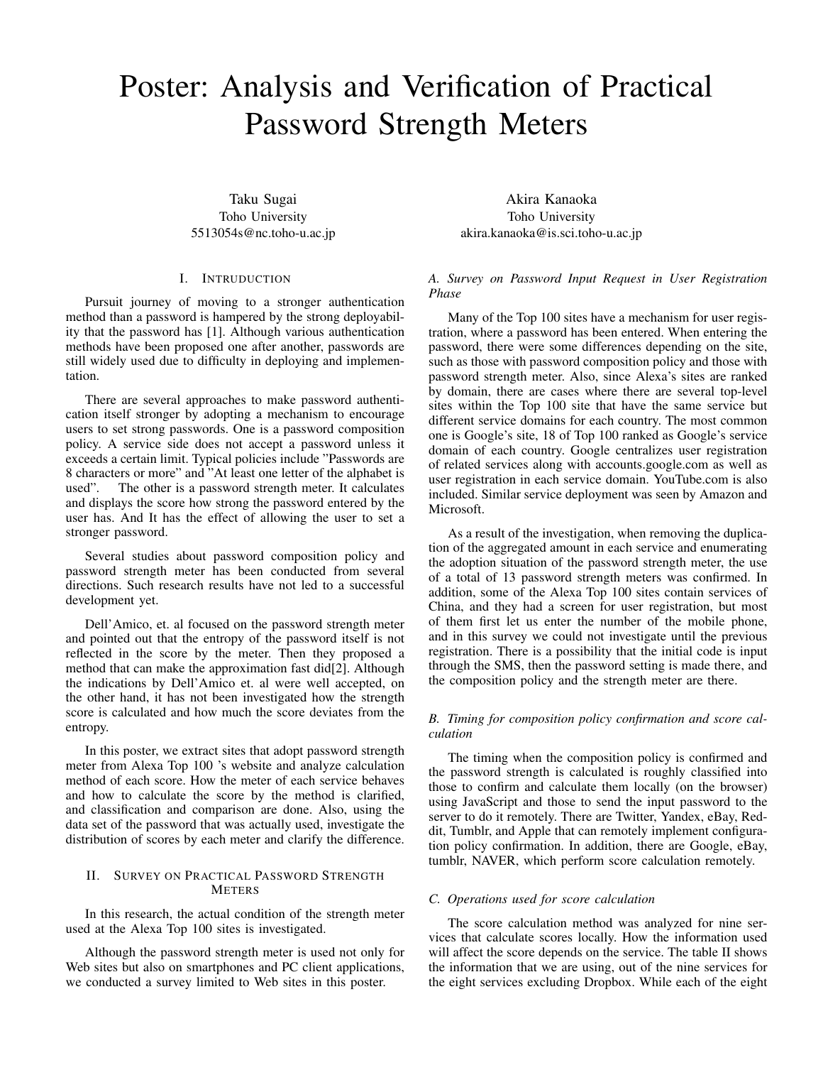# Poster: Analysis and Verification of Practical Password Strength Meters

Taku Sugai Toho University 5513054s@nc.toho-u.ac.jp

## I. INTRUDUCTION

Pursuit journey of moving to a stronger authentication method than a password is hampered by the strong deployability that the password has [1]. Although various authentication methods have been proposed one after another, passwords are still widely used due to difficulty in deploying and implementation.

There are several approaches to make password authentication itself stronger by adopting a mechanism to encourage users to set strong passwords. One is a password composition policy. A service side does not accept a password unless it exceeds a certain limit. Typical policies include "Passwords are 8 characters or more" and "At least one letter of the alphabet is used". The other is a password strength meter. It calculates and displays the score how strong the password entered by the user has. And It has the effect of allowing the user to set a stronger password.

Several studies about password composition policy and password strength meter has been conducted from several directions. Such research results have not led to a successful development yet.

Dell'Amico, et. al focused on the password strength meter and pointed out that the entropy of the password itself is not reflected in the score by the meter. Then they proposed a method that can make the approximation fast did[2]. Although the indications by Dell'Amico et. al were well accepted, on the other hand, it has not been investigated how the strength score is calculated and how much the score deviates from the entropy.

In this poster, we extract sites that adopt password strength meter from Alexa Top 100 's website and analyze calculation method of each score. How the meter of each service behaves and how to calculate the score by the method is clarified, and classification and comparison are done. Also, using the data set of the password that was actually used, investigate the distribution of scores by each meter and clarify the difference.

## II. SURVEY ON PRACTICAL PASSWORD STRENGTH **METERS**

In this research, the actual condition of the strength meter used at the Alexa Top 100 sites is investigated.

Although the password strength meter is used not only for Web sites but also on smartphones and PC client applications, we conducted a survey limited to Web sites in this poster.

Akira Kanaoka Toho University akira.kanaoka@is.sci.toho-u.ac.jp

# *A. Survey on Password Input Request in User Registration Phase*

Many of the Top 100 sites have a mechanism for user registration, where a password has been entered. When entering the password, there were some differences depending on the site, such as those with password composition policy and those with password strength meter. Also, since Alexa's sites are ranked by domain, there are cases where there are several top-level sites within the Top 100 site that have the same service but different service domains for each country. The most common one is Google's site, 18 of Top 100 ranked as Google's service domain of each country. Google centralizes user registration of related services along with accounts.google.com as well as user registration in each service domain. YouTube.com is also included. Similar service deployment was seen by Amazon and Microsoft.

As a result of the investigation, when removing the duplication of the aggregated amount in each service and enumerating the adoption situation of the password strength meter, the use of a total of 13 password strength meters was confirmed. In addition, some of the Alexa Top 100 sites contain services of China, and they had a screen for user registration, but most of them first let us enter the number of the mobile phone, and in this survey we could not investigate until the previous registration. There is a possibility that the initial code is input through the SMS, then the password setting is made there, and the composition policy and the strength meter are there.

# *B. Timing for composition policy confirmation and score calculation*

The timing when the composition policy is confirmed and the password strength is calculated is roughly classified into those to confirm and calculate them locally (on the browser) using JavaScript and those to send the input password to the server to do it remotely. There are Twitter, Yandex, eBay, Reddit, Tumblr, and Apple that can remotely implement configuration policy confirmation. In addition, there are Google, eBay, tumblr, NAVER, which perform score calculation remotely.

#### *C. Operations used for score calculation*

The score calculation method was analyzed for nine services that calculate scores locally. How the information used will affect the score depends on the service. The table II shows the information that we are using, out of the nine services for the eight services excluding Dropbox. While each of the eight